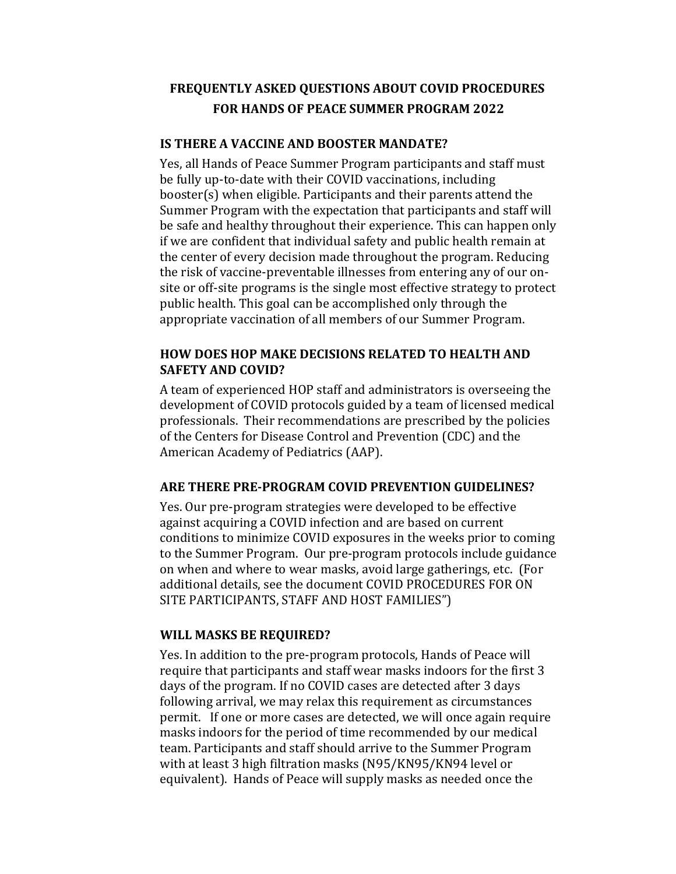# **FREQUENTLY ASKED QUESTIONS ABOUT COVID PROCEDURES** FOR HANDS OF PEACE SUMMER PROGRAM 2022

#### **IS THERE A VACCINE AND BOOSTER MANDATE?**

Yes, all Hands of Peace Summer Program participants and staff must be fully up-to-date with their COVID vaccinations, including booster(s) when eligible. Participants and their parents attend the Summer Program with the expectation that participants and staff will be safe and healthy throughout their experience. This can happen only if we are confident that individual safety and public health remain at the center of every decision made throughout the program. Reducing the risk of vaccine-preventable illnesses from entering any of our onsite or off-site programs is the single most effective strategy to protect public health. This goal can be accomplished only through the appropriate vaccination of all members of our Summer Program.

### **HOW DOES HOP MAKE DECISIONS RELATED TO HEALTH AND SAFETY AND COVID?**

A team of experienced HOP staff and administrators is overseeing the development of COVID protocols guided by a team of licensed medical professionals. Their recommendations are prescribed by the policies of the Centers for Disease Control and Prevention (CDC) and the American Academy of Pediatrics (AAP).

#### **ARE THERE PRE-PROGRAM COVID PREVENTION GUIDELINES?**

Yes. Our pre-program strategies were developed to be effective against acquiring a COVID infection and are based on current conditions to minimize COVID exposures in the weeks prior to coming to the Summer Program. Our pre-program protocols include guidance on when and where to wear masks, avoid large gatherings, etc. (For additional details, see the document COVID PROCEDURES FOR ON SITE PARTICIPANTS, STAFF AND HOST FAMILIES")

#### **WILL MASKS BE REQUIRED?**

Yes. In addition to the pre-program protocols, Hands of Peace will require that participants and staff wear masks indoors for the first 3 days of the program. If no COVID cases are detected after 3 days following arrival, we may relax this requirement as circumstances permit. If one or more cases are detected, we will once again require masks indoors for the period of time recommended by our medical team. Participants and staff should arrive to the Summer Program with at least 3 high filtration masks (N95/KN95/KN94 level or equivalent). Hands of Peace will supply masks as needed once the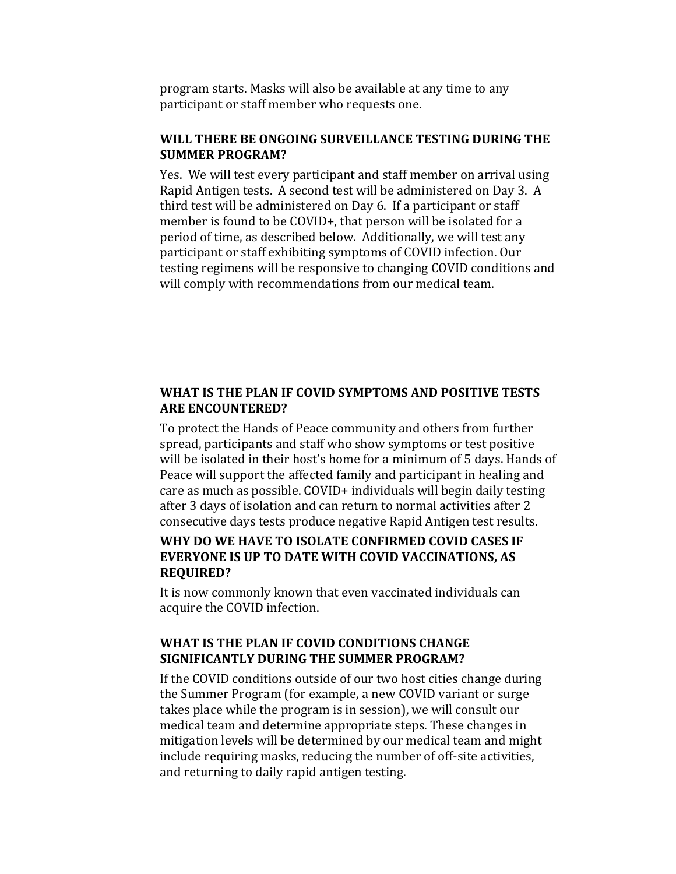program starts. Masks will also be available at any time to any participant or staff member who requests one.

### WILL THERE BE ONGOING SURVEILLANCE TESTING DURING THE **SUMMER PROGRAM?**

Yes. We will test every participant and staff member on arrival using Rapid Antigen tests. A second test will be administered on Day 3. A third test will be administered on Day 6. If a participant or staff member is found to be COVID+, that person will be isolated for a period of time, as described below. Additionally, we will test any participant or staff exhibiting symptoms of COVID infection. Our testing regimens will be responsive to changing COVID conditions and will comply with recommendations from our medical team.

### WHAT IS THE PLAN IF COVID SYMPTOMS AND POSITIVE TESTS **ARE ENCOUNTERED?**

To protect the Hands of Peace community and others from further spread, participants and staff who show symptoms or test positive will be isolated in their host's home for a minimum of 5 days. Hands of Peace will support the affected family and participant in healing and care as much as possible. COVID+ individuals will begin daily testing after 3 days of isolation and can return to normal activities after 2 consecutive days tests produce negative Rapid Antigen test results.

### WHY DO WE HAVE TO ISOLATE CONFIRMED COVID CASES IF **EVERYONE IS UP TO DATE WITH COVID VACCINATIONS, AS REQUIRED?**

It is now commonly known that even vaccinated individuals can acquire the COVID infection.

# **WHAT IS THE PLAN IF COVID CONDITIONS CHANGE SIGNIFICANTLY DURING THE SUMMER PROGRAM?**

If the COVID conditions outside of our two host cities change during the Summer Program (for example, a new COVID variant or surge takes place while the program is in session), we will consult our medical team and determine appropriate steps. These changes in mitigation levels will be determined by our medical team and might include requiring masks, reducing the number of off-site activities, and returning to daily rapid antigen testing.